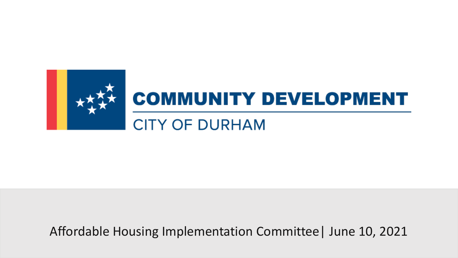

Affordable Housing Implementation Committee| June 10, 2021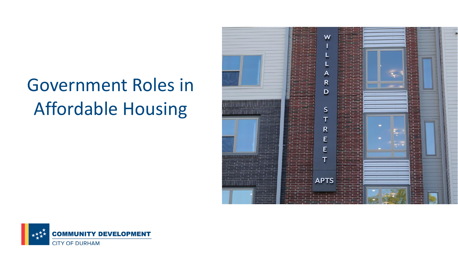## Government Roles in Affordable Housing



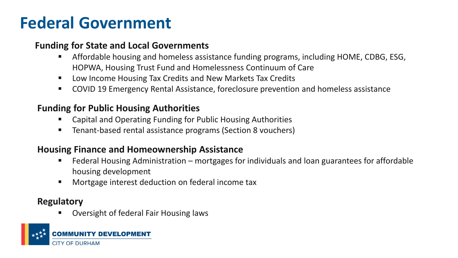## **Federal Government**

#### **Funding for State and Local Governments**

- Affordable housing and homeless assistance funding programs, including HOME, CDBG, ESG, HOPWA, Housing Trust Fund and Homelessness Continuum of Care
- Low Income Housing Tax Credits and New Markets Tax Credits
- COVID 19 Emergency Rental Assistance, foreclosure prevention and homeless assistance

#### **Funding for Public Housing Authorities**

- Capital and Operating Funding for Public Housing Authorities
- Tenant-based rental assistance programs (Section 8 vouchers)

#### **Housing Finance and Homeownership Assistance**

- Federal Housing Administration mortgages for individuals and loan guarantees for affordable housing development
- Mortgage interest deduction on federal income tax

#### **Regulatory**

Oversight of federal Fair Housing laws

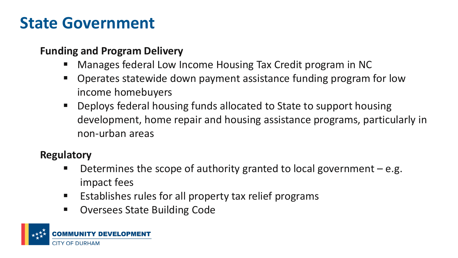## **State Government**

#### **Funding and Program Delivery**

- Manages federal Low Income Housing Tax Credit program in NC
- Operates statewide down payment assistance funding program for low income homebuyers
- Deploys federal housing funds allocated to State to support housing development, home repair and housing assistance programs, particularly in non-urban areas

#### **Regulatory**

- Determines the scope of authority granted to local government  $-e.g.$ impact fees
- Establishes rules for all property tax relief programs
- Oversees State Building Code

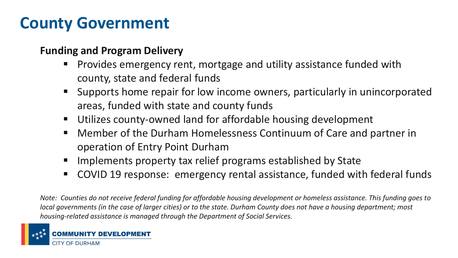## **County Government**

#### **Funding and Program Delivery**

- Provides emergency rent, mortgage and utility assistance funded with county, state and federal funds
- Supports home repair for low income owners, particularly in unincorporated areas, funded with state and county funds
- Utilizes county-owned land for affordable housing development
- Member of the Durham Homelessness Continuum of Care and partner in operation of Entry Point Durham
- Implements property tax relief programs established by State
- COVID 19 response: emergency rental assistance, funded with federal funds

*Note: Counties do not receive federal funding for affordable housing development or homeless assistance. This funding goes to local governments (in the case of larger cities) or to the state. Durham County does not have a housing department; most housing-related assistance is managed through the Department of Social Services.*

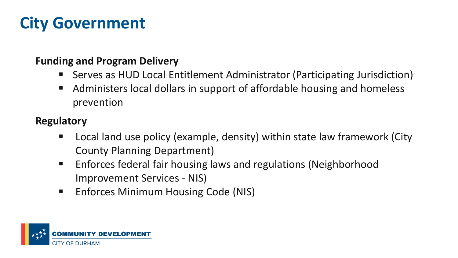## **City Government**

#### **Funding and Program Delivery**

- Serves as HUD Local Entitlement Administrator (Participating Jurisdiction)
- Administers local dollars in support of affordable housing and homeless prevention

#### **Regulatory**

- Local land use policy (example, density) within state law framework (City County Planning Department)
- Enforces federal fair housing laws and regulations (Neighborhood Improvement Services - NIS)
- Enforces Minimum Housing Code (NIS)

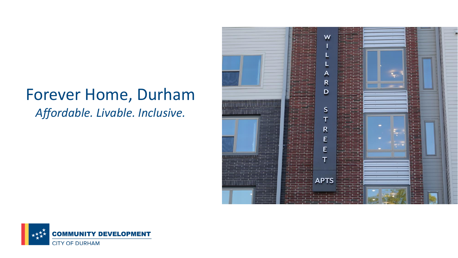### Forever Home, Durham *Affordable. Livable. Inclusive.*



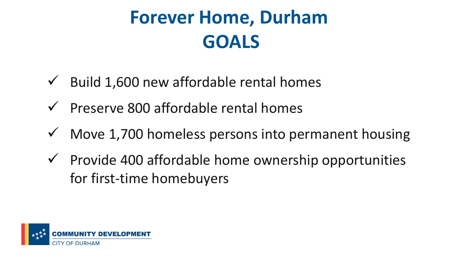# **Forever Home, Durham GOALS**

- $\checkmark$  Build 1,600 new affordable rental homes
- $\checkmark$  Preserve 800 affordable rental homes
- $\checkmark$  Move 1,700 homeless persons into permanent housing
- $\checkmark$  Provide 400 affordable home ownership opportunities for first-time homebuyers

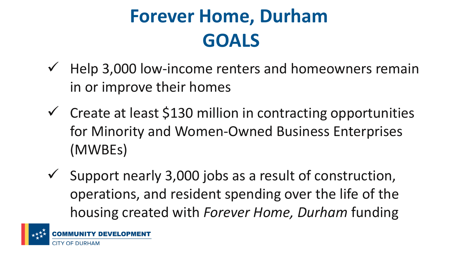## **Forever Home, Durham GOALS**

- $\checkmark$  Help 3,000 low-income renters and homeowners remain in or improve their homes
- $\checkmark$  Create at least \$130 million in contracting opportunities for Minority and Women-Owned Business Enterprises (MWBEs)
- $\checkmark$  Support nearly 3,000 jobs as a result of construction, operations, and resident spending over the life of the housing created with *Forever Home, Durham* funding

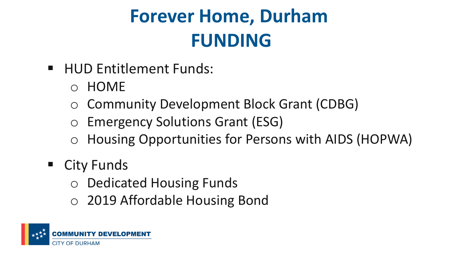# **Forever Home, Durham FUNDING**

- HUD Entitlement Funds:
	- o HOME
	- o Community Development Block Grant (CDBG)
	- o Emergency Solutions Grant (ESG)
	- o Housing Opportunities for Persons with AIDS (HOPWA)
- City Funds
	- o Dedicated Housing Funds
	- o 2019 Affordable Housing Bond